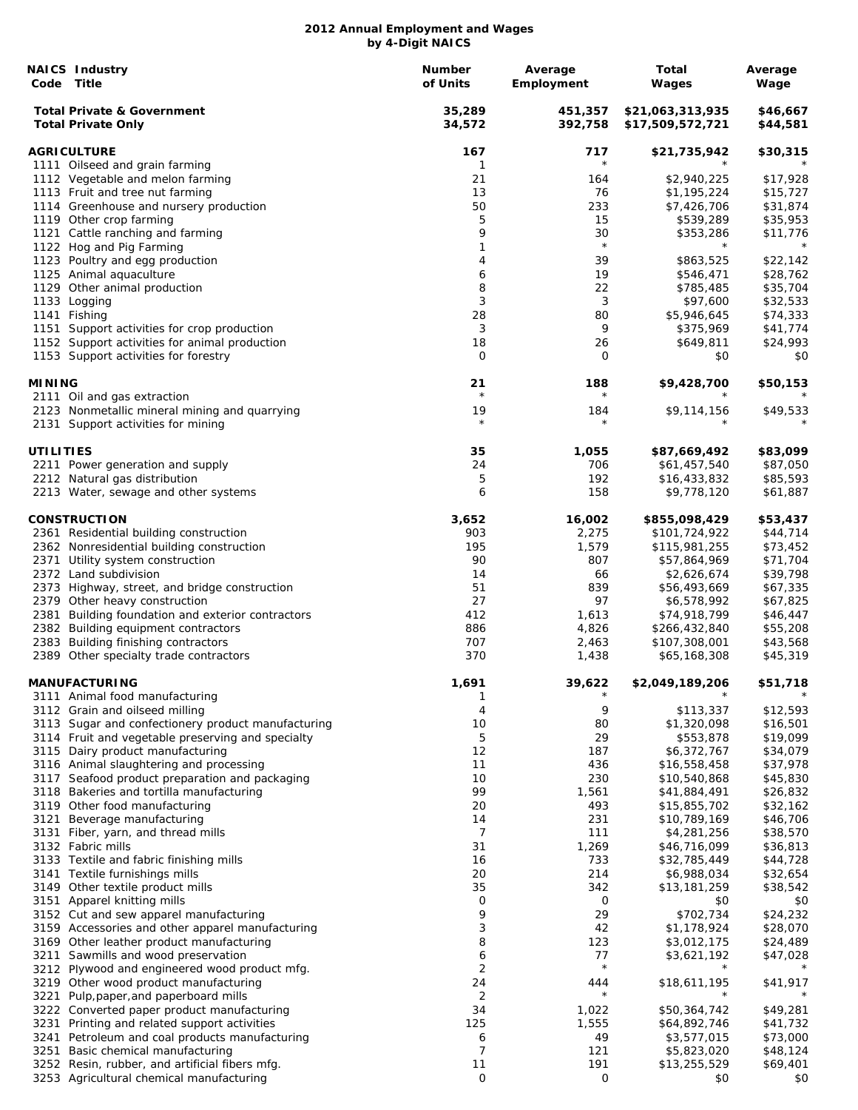|                  | <b>NAICS Industry</b><br>Code Title                                                                     | Number<br>of Units | Average<br>Employment | Total<br>Wages                       | Average<br>Wage      |
|------------------|---------------------------------------------------------------------------------------------------------|--------------------|-----------------------|--------------------------------------|----------------------|
|                  | <b>Total Private &amp; Government</b><br><b>Total Private Only</b>                                      | 35,289<br>34,572   | 451,357<br>392,758    | \$21,063,313,935<br>\$17,509,572,721 | \$46,667<br>\$44,581 |
|                  | <b>AGRICULTURE</b>                                                                                      | 167                | 717                   | \$21,735,942                         | \$30,315             |
|                  | 1111 Oilseed and grain farming                                                                          | 1                  | $\star$               |                                      |                      |
|                  | 1112 Vegetable and melon farming                                                                        | 21                 | 164                   | \$2,940,225                          | \$17,928             |
|                  | 1113 Fruit and tree nut farming                                                                         | 13                 | 76                    | \$1,195,224                          | \$15,727             |
|                  | 1114 Greenhouse and nursery production                                                                  | 50                 | 233                   | \$7,426,706                          | \$31,874             |
|                  | 1119 Other crop farming                                                                                 | 5                  | 15                    | \$539,289                            | \$35,953             |
|                  | 1121 Cattle ranching and farming                                                                        | 9                  | 30                    | \$353,286                            | \$11,776             |
|                  | 1122 Hog and Pig Farming                                                                                | 1                  | $\star$               | $^\star$                             | $^\star$             |
|                  | 1123 Poultry and egg production                                                                         | 4                  | 39                    | \$863,525                            | \$22,142             |
|                  | 1125 Animal aquaculture                                                                                 | 6                  | 19                    | \$546,471                            | \$28,762             |
|                  | 1129 Other animal production                                                                            | 8<br>3             | 22                    | \$785,485                            | \$35,704             |
|                  | 1133 Logging                                                                                            | 28                 | 3                     | \$97,600<br>\$5,946,645              | \$32,533             |
|                  | 1141 Fishing                                                                                            | 3                  | 80<br>9               |                                      | \$74,333             |
|                  | 1151 Support activities for crop production<br>1152 Support activities for animal production            | 18                 | 26                    | \$375,969<br>\$649,811               | \$41,774<br>\$24,993 |
|                  | 1153 Support activities for forestry                                                                    | 0                  | 0                     | \$0                                  | \$0                  |
| <b>MINING</b>    |                                                                                                         | 21                 | 188                   | \$9,428,700                          | \$50,153             |
|                  | 2111 Oil and gas extraction                                                                             | $\star$            | $^\star$              |                                      |                      |
|                  | 2123 Nonmetallic mineral mining and quarrying<br>2131 Support activities for mining                     | 19<br>$\star$      | 184<br>$^\star$       | \$9,114,156                          | \$49,533             |
| <b>UTILITIES</b> |                                                                                                         | 35                 | 1,055                 | \$87,669,492                         | \$83,099             |
|                  | 2211 Power generation and supply                                                                        | 24                 | 706                   | \$61,457,540                         | \$87,050             |
|                  | 2212 Natural gas distribution                                                                           | 5                  | 192                   | \$16,433,832                         | \$85,593             |
|                  | 2213 Water, sewage and other systems                                                                    | 6                  | 158                   | \$9,778,120                          | \$61,887             |
|                  | <b>CONSTRUCTION</b>                                                                                     | 3,652              | 16,002                | \$855,098,429                        | \$53,437             |
|                  | 2361 Residential building construction                                                                  | 903                | 2,275                 | \$101,724,922                        | \$44,714             |
|                  | 2362 Nonresidential building construction                                                               | 195                | 1,579                 | \$115,981,255                        | \$73,452             |
|                  | 2371 Utility system construction                                                                        | 90                 | 807                   | \$57,864,969                         | \$71,704             |
|                  | 2372 Land subdivision                                                                                   | 14                 | 66                    | \$2,626,674                          | \$39,798             |
|                  | 2373 Highway, street, and bridge construction                                                           | 51                 | 839                   | \$56,493,669                         | \$67,335             |
|                  | 2379 Other heavy construction                                                                           | 27                 | 97                    | \$6,578,992                          | \$67,825             |
|                  | 2381 Building foundation and exterior contractors                                                       | 412                | 1,613                 | \$74,918,799                         | \$46,447             |
|                  | 2382 Building equipment contractors                                                                     | 886                | 4,826                 | \$266,432,840                        | \$55,208             |
|                  | 2383 Building finishing contractors                                                                     | 707                | 2,463                 | \$107,308,001                        | \$43,568             |
|                  | 2389 Other specialty trade contractors                                                                  | 370                | 1,438                 | \$65,168,308                         | \$45,319             |
|                  | <b>MANUFACTURING</b>                                                                                    | 1,691              | 39,622<br>$^{\star}$  | \$2,049,189,206<br>$^\star$          | \$51,718<br>$\star$  |
|                  | 3111 Animal food manufacturing                                                                          | 1                  |                       |                                      |                      |
|                  | 3112 Grain and oilseed milling                                                                          | 4                  | 9                     | \$113,337                            | \$12,593             |
|                  | 3113 Sugar and confectionery product manufacturing<br>3114 Fruit and vegetable preserving and specialty | 10<br>5            | 80<br>29              | \$1,320,098<br>\$553,878             | \$16,501<br>\$19,099 |
|                  | 3115 Dairy product manufacturing                                                                        | 12                 | 187                   | \$6,372,767                          | \$34,079             |
|                  | 3116 Animal slaughtering and processing                                                                 | 11                 | 436                   | \$16,558,458                         | \$37,978             |
|                  | 3117 Seafood product preparation and packaging                                                          | 10                 | 230                   | \$10,540,868                         | \$45,830             |
|                  | 3118 Bakeries and tortilla manufacturing                                                                | 99                 | 1,561                 | \$41,884,491                         | \$26,832             |
|                  | 3119 Other food manufacturing                                                                           | 20                 | 493                   | \$15,855,702                         | \$32,162             |
| 3121             | Beverage manufacturing                                                                                  | 14                 | 231                   | \$10,789,169                         | \$46,706             |
| 3131             | Fiber, yarn, and thread mills                                                                           | 7                  | 111                   | \$4,281,256                          | \$38,570             |
|                  | 3132 Fabric mills                                                                                       | 31                 | 1,269                 | \$46,716,099                         | \$36,813             |
|                  | 3133 Textile and fabric finishing mills                                                                 | 16                 | 733                   | \$32,785,449                         | \$44,728             |
|                  | 3141 Textile furnishings mills                                                                          | 20                 | 214                   | \$6,988,034                          | \$32,654             |
|                  | 3149 Other textile product mills                                                                        | 35                 | 342                   | \$13,181,259                         | \$38,542             |
|                  | 3151 Apparel knitting mills                                                                             | 0                  | 0                     | \$0                                  | \$0                  |
|                  | 3152 Cut and sew apparel manufacturing                                                                  | 9                  | 29                    | \$702,734                            | \$24,232             |
|                  | 3159 Accessories and other apparel manufacturing                                                        | 3                  | 42                    | \$1,178,924                          | \$28,070             |
|                  | 3169 Other leather product manufacturing                                                                | 8                  | 123                   | \$3,012,175                          | \$24,489             |
|                  | 3211 Sawmills and wood preservation                                                                     | 6                  | 77                    | \$3,621,192                          | \$47,028             |
|                  | 3212 Plywood and engineered wood product mfg.                                                           | 2                  | $\star$               |                                      |                      |
|                  | 3219 Other wood product manufacturing                                                                   | 24                 | 444                   | \$18,611,195                         | \$41,917             |
| 3221             | Pulp, paper, and paperboard mills                                                                       | 2                  | $\star$               |                                      |                      |
|                  | 3222 Converted paper product manufacturing                                                              | 34                 | 1,022                 | \$50,364,742                         | \$49,281             |
| 3231             | Printing and related support activities                                                                 | 125                | 1,555                 | \$64,892,746                         | \$41,732             |
|                  | 3241 Petroleum and coal products manufacturing                                                          | 6                  | 49                    | \$3,577,015                          | \$73,000             |
|                  | 3251 Basic chemical manufacturing                                                                       | 7                  | 121                   | \$5,823,020                          | \$48,124             |
|                  | 3252 Resin, rubber, and artificial fibers mfg.                                                          | 11                 | 191                   | \$13,255,529                         | \$69,401             |
|                  | 3253 Agricultural chemical manufacturing                                                                | $\mathsf{O}$       | 0                     | \$0                                  | \$0                  |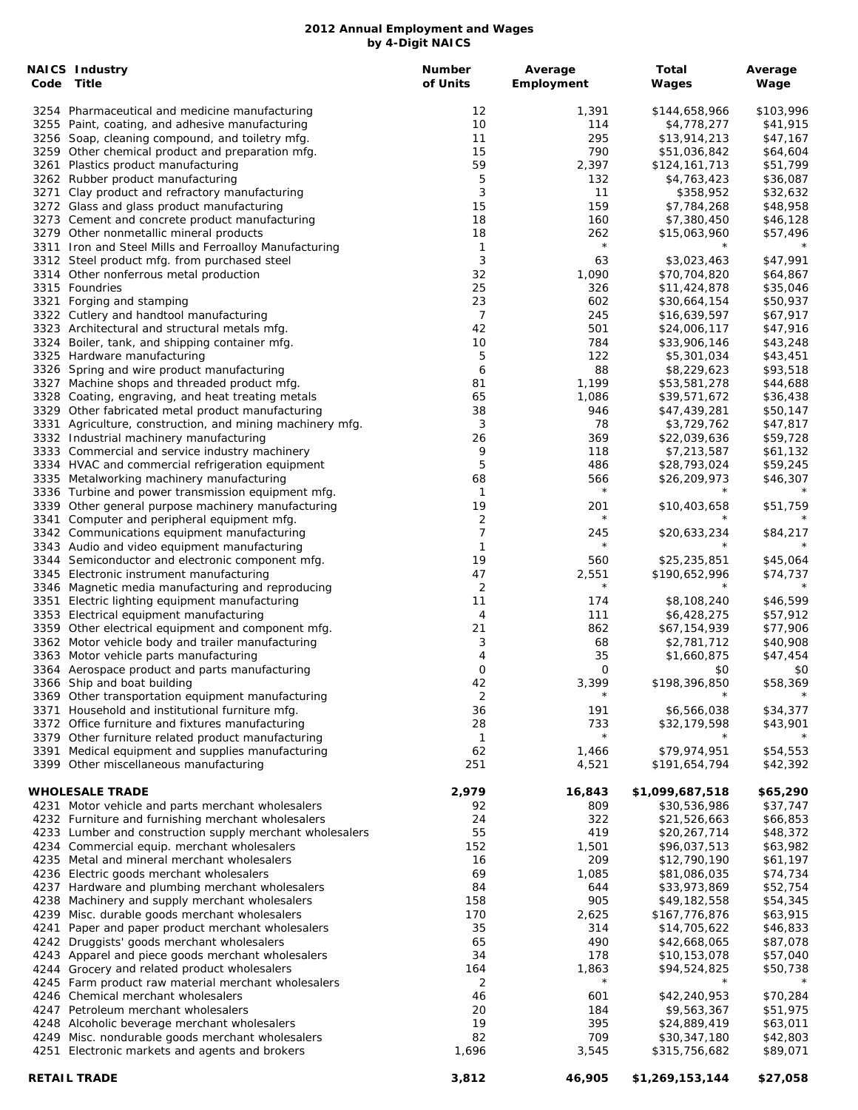| <b>NAICS Industry</b><br>Code Title                       | <b>Number</b><br>of Units | Average<br>Employment | Total                      | Average<br>Wage |
|-----------------------------------------------------------|---------------------------|-----------------------|----------------------------|-----------------|
|                                                           |                           |                       | Wages                      |                 |
| 3254 Pharmaceutical and medicine manufacturing            | 12                        | 1,391                 | \$144,658,966              | \$103,996       |
| 3255 Paint, coating, and adhesive manufacturing           | 10                        | 114                   | \$4,778,277                | \$41,915        |
| 3256 Soap, cleaning compound, and toiletry mfg.           | 11                        | 295                   | \$13,914,213               | \$47,167        |
| 3259 Other chemical product and preparation mfg.          | 15                        | 790                   | \$51,036,842               | \$64,604        |
| 3261 Plastics product manufacturing                       | 59                        | 2,397                 | \$124,161,713              | \$51,799        |
| 3262 Rubber product manufacturing                         | 5                         | 132                   | \$4,763,423                | \$36,087        |
| 3271 Clay product and refractory manufacturing            | 3                         | 11                    | \$358,952                  | \$32,632        |
| 3272 Glass and glass product manufacturing                | 15                        | 159                   | \$7,784,268                | \$48,958        |
| 3273 Cement and concrete product manufacturing            | 18                        | 160                   | \$7,380,450                | \$46,128        |
| 3279 Other nonmetallic mineral products                   | 18                        | 262                   | \$15,063,960               | \$57,496        |
| 3311 Iron and Steel Mills and Ferroalloy Manufacturing    | 1                         | $\star$               |                            |                 |
| 3312 Steel product mfg. from purchased steel              | 3                         | 63                    | \$3,023,463                | \$47,991        |
| 3314 Other nonferrous metal production                    | 32                        | 1,090                 | \$70,704,820               | \$64,867        |
| 3315 Foundries                                            | 25                        | 326                   | \$11,424,878               | \$35,046        |
| 3321 Forging and stamping                                 | 23                        | 602                   | \$30,664,154               | \$50,937        |
| 3322 Cutlery and handtool manufacturing                   | 7                         | 245                   | \$16,639,597               | \$67,917        |
| 3323 Architectural and structural metals mfg.             | 42                        | 501                   | \$24,006,117               | \$47,916        |
| 3324 Boiler, tank, and shipping container mfg.            | 10                        | 784                   | \$33,906,146               | \$43,248        |
| 3325 Hardware manufacturing                               | 5                         | 122                   | \$5,301,034                | \$43,451        |
| 3326 Spring and wire product manufacturing                | 6                         | 88                    | \$8,229,623                | \$93,518        |
| 3327 Machine shops and threaded product mfg.              | 81                        | 1,199                 | \$53,581,278               | \$44,688        |
| 3328 Coating, engraving, and heat treating metals         | 65                        | 1,086                 | \$39,571,672               | \$36,438        |
| 3329 Other fabricated metal product manufacturing         | 38                        | 946                   | \$47,439,281               | \$50,147        |
| 3331 Agriculture, construction, and mining machinery mfg. | 3                         | 78                    | \$3,729,762                | \$47,817        |
| 3332 Industrial machinery manufacturing                   | 26                        | 369                   | \$22,039,636               | \$59,728        |
| 3333 Commercial and service industry machinery            | 9                         | 118                   | \$7,213,587                | \$61,132        |
| 3334 HVAC and commercial refrigeration equipment          | 5                         | 486                   | \$28,793,024               | \$59,245        |
| 3335 Metalworking machinery manufacturing                 | 68                        | 566                   | \$26,209,973               | \$46,307        |
| 3336 Turbine and power transmission equipment mfg.        | $\mathbf{1}$              | $\star$               |                            |                 |
| 3339 Other general purpose machinery manufacturing        | 19                        | 201                   | \$10,403,658               | \$51,759        |
| 3341 Computer and peripheral equipment mfg.               | 2                         | $\star$               | $\star$                    | $\star$         |
| 3342 Communications equipment manufacturing               | 7                         | 245                   | \$20,633,234               | \$84,217        |
| 3343 Audio and video equipment manufacturing              | 1                         | $\star$               |                            |                 |
| 3344 Semiconductor and electronic component mfg.          | 19                        | 560                   | \$25,235,851               | \$45,064        |
| 3345 Electronic instrument manufacturing                  | 47                        | 2,551                 | \$190,652,996              | \$74,737        |
| 3346 Magnetic media manufacturing and reproducing         | 2                         | $\star$               | $\star$                    |                 |
| 3351 Electric lighting equipment manufacturing            | 11                        | 174                   | \$8,108,240                | \$46,599        |
| 3353 Electrical equipment manufacturing                   | 4                         | 111                   | \$6,428,275                | \$57,912        |
| 3359 Other electrical equipment and component mfg.        | 21                        | 862                   | \$67,154,939               | \$77,906        |
| 3362 Motor vehicle body and trailer manufacturing         | 3                         | 68                    | \$2,781,712                | \$40,908        |
| 3363 Motor vehicle parts manufacturing                    | 4                         | 35                    | \$1,660,875                | \$47,454        |
| 3364 Aerospace product and parts manufacturing            | 0                         | 0                     | \$0                        | \$0             |
| 3366 Ship and boat building                               | 42                        | 3,399<br>$\star$      | \$198,396,850              | \$58,369        |
| 3369 Other transportation equipment manufacturing         | 2                         |                       |                            |                 |
| 3371 Household and institutional furniture mfg.           | 36                        | 191                   | \$6,566,038                | \$34,377        |
| 3372 Office furniture and fixtures manufacturing          | 28                        | 733<br>$\star$        | \$32,179,598               | \$43,901        |
| 3379 Other furniture related product manufacturing        | 1                         |                       |                            |                 |
| 3391 Medical equipment and supplies manufacturing         | 62                        | 1,466                 | \$79,974,951               | \$54,553        |
| 3399 Other miscellaneous manufacturing                    | 251                       | 4,521                 | \$191,654,794              | \$42,392        |
|                                                           |                           |                       |                            |                 |
| <b>WHOLESALE TRADE</b>                                    | 2,979                     | 16,843                | \$1,099,687,518            | \$65,290        |
| 4231 Motor vehicle and parts merchant wholesalers         | 92                        | 809<br>322            | \$30,536,986               | \$37,747        |
| 4232 Furniture and furnishing merchant wholesalers        | 24                        |                       | \$21,526,663               | \$66,853        |
| 4233 Lumber and construction supply merchant wholesalers  | 55                        | 419                   | \$20,267,714               | \$48,372        |
| 4234 Commercial equip. merchant wholesalers               | 152                       | 1,501                 | \$96,037,513               | \$63,982        |
| 4235 Metal and mineral merchant wholesalers               | 16                        | 209                   | \$12,790,190               | \$61,197        |
| 4236 Electric goods merchant wholesalers                  | 69                        | 1,085                 | \$81,086,035               | \$74,734        |
| 4237 Hardware and plumbing merchant wholesalers           | 84                        | 644                   | \$33,973,869               | \$52,754        |
| 4238 Machinery and supply merchant wholesalers            | 158                       | 905                   | \$49,182,558               | \$54,345        |
| 4239 Misc. durable goods merchant wholesalers             | 170                       | 2,625                 | \$167,776,876              | \$63,915        |
| 4241 Paper and paper product merchant wholesalers         | 35                        | 314                   | \$14,705,622               | \$46,833        |
| 4242 Druggists' goods merchant wholesalers                | 65                        | 490                   | \$42,668,065               | \$87,078        |
| 4243 Apparel and piece goods merchant wholesalers         | 34                        | 178                   | \$10,153,078               | \$57,040        |
| 4244 Grocery and related product wholesalers              | 164                       | 1,863<br>$^\star$     | \$94,524,825<br>$^{\star}$ | \$50,738        |
| 4245 Farm product raw material merchant wholesalers       | 2                         |                       |                            |                 |
| 4246 Chemical merchant wholesalers                        | 46                        | 601                   | \$42,240,953               | \$70,284        |
| 4247 Petroleum merchant wholesalers                       | 20                        | 184                   | \$9,563,367                | \$51,975        |
| 4248 Alcoholic beverage merchant wholesalers              | 19                        | 395                   | \$24,889,419               | \$63,011        |
| 4249 Misc. nondurable goods merchant wholesalers          | 82                        | 709                   | \$30,347,180               | \$42,803        |
| 4251 Electronic markets and agents and brokers            | 1,696                     | 3,545                 | \$315,756,682              | \$89,071        |
| <b>RETAIL TRADE</b>                                       | 3,812                     | 46,905                | \$1,269,153,144            | \$27,058        |
|                                                           |                           |                       |                            |                 |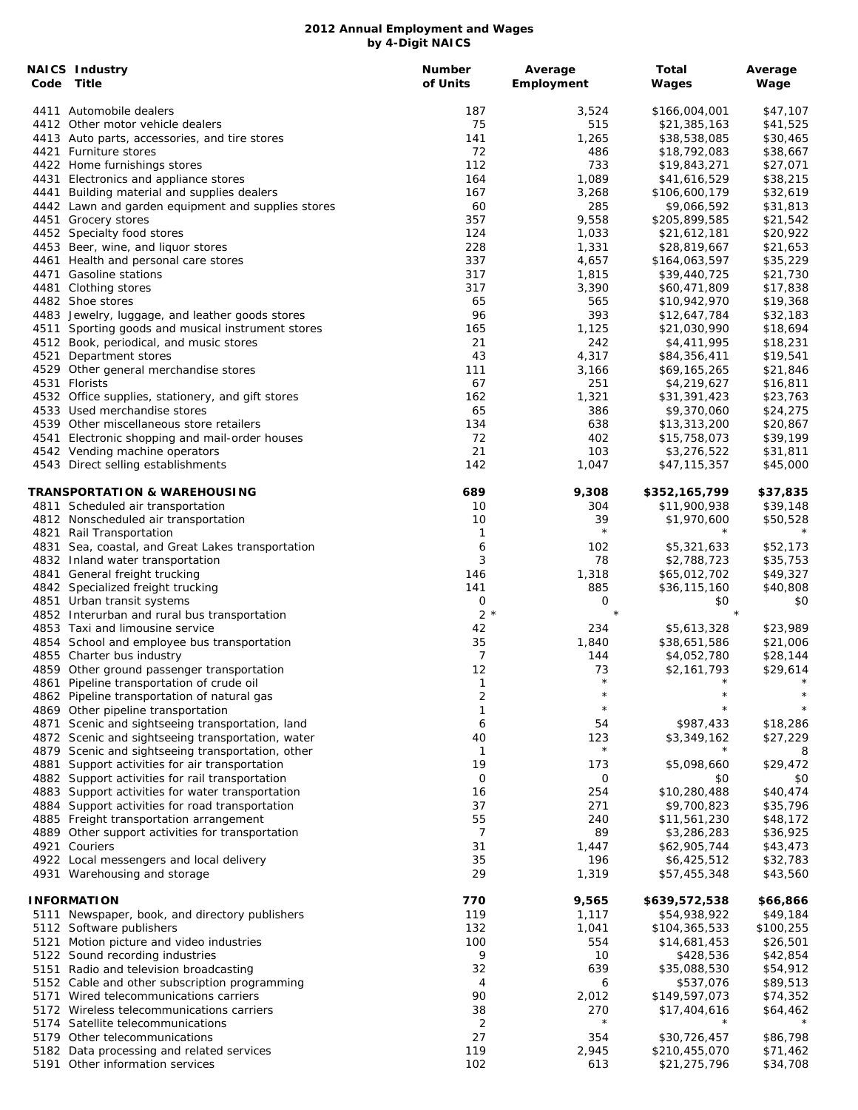|      | <b>NAICS Industry</b><br>Code Title                                                                 | <b>Number</b><br>of Units | Average<br>Employment | Total<br>Wages               | Average<br>Wage      |
|------|-----------------------------------------------------------------------------------------------------|---------------------------|-----------------------|------------------------------|----------------------|
|      | 4411 Automobile dealers                                                                             | 187                       | 3,524                 | \$166,004,001                | \$47,107             |
|      | 4412 Other motor vehicle dealers                                                                    | 75                        | 515                   | \$21,385,163                 | \$41,525             |
|      | 4413 Auto parts, accessories, and tire stores                                                       | 141                       | 1,265                 | \$38,538,085                 | \$30,465             |
|      | 4421 Furniture stores                                                                               | 72                        | 486                   | \$18,792,083                 | \$38,667             |
|      | 4422 Home furnishings stores                                                                        | 112                       | 733                   | \$19,843,271                 | \$27,071             |
|      | 4431 Electronics and appliance stores                                                               | 164                       | 1,089                 | \$41,616,529                 | \$38,215             |
|      | 4441 Building material and supplies dealers                                                         | 167                       | 3,268                 | \$106,600,179                | \$32,619             |
|      | 4442 Lawn and garden equipment and supplies stores<br>4451 Grocery stores                           | 60<br>357                 | 285<br>9,558          | \$9,066,592<br>\$205,899,585 | \$31,813<br>\$21,542 |
|      | 4452 Specialty food stores                                                                          | 124                       | 1,033                 | \$21,612,181                 | \$20,922             |
|      | 4453 Beer, wine, and liquor stores                                                                  | 228                       | 1,331                 | \$28,819,667                 | \$21,653             |
|      | 4461 Health and personal care stores                                                                | 337                       | 4,657                 | \$164,063,597                | \$35,229             |
|      | 4471 Gasoline stations                                                                              | 317                       | 1,815                 | \$39,440,725                 | \$21,730             |
|      | 4481 Clothing stores                                                                                | 317                       | 3,390                 | \$60,471,809                 | \$17,838             |
|      | 4482 Shoe stores                                                                                    | 65                        | 565                   | \$10,942,970                 | \$19,368             |
|      | 4483 Jewelry, luggage, and leather goods stores                                                     | 96                        | 393                   | \$12,647,784                 | \$32,183             |
|      | 4511 Sporting goods and musical instrument stores                                                   | 165                       | 1,125                 | \$21,030,990                 | \$18,694             |
|      | 4512 Book, periodical, and music stores                                                             | 21                        | 242                   | \$4,411,995                  | \$18,231             |
| 4521 | Department stores                                                                                   | 43                        | 4,317                 | \$84,356,411                 | \$19,541             |
|      | 4529 Other general merchandise stores                                                               | 111                       | 3,166                 | \$69,165,265                 | \$21,846             |
|      | 4531 Florists                                                                                       | 67                        | 251                   | \$4,219,627                  | \$16,811             |
|      | 4532 Office supplies, stationery, and gift stores                                                   | 162                       | 1,321                 | \$31,391,423                 | \$23,763             |
|      | 4533 Used merchandise stores<br>4539 Other miscellaneous store retailers                            | 65<br>134                 | 386                   | \$9,370,060                  | \$24,275             |
|      | 4541 Electronic shopping and mail-order houses                                                      | 72                        | 638<br>402            | \$13,313,200<br>\$15,758,073 | \$20,867<br>\$39,199 |
|      | 4542 Vending machine operators                                                                      | 21                        | 103                   | \$3,276,522                  | \$31,811             |
|      | 4543 Direct selling establishments                                                                  | 142                       | 1,047                 | \$47,115,357                 | \$45,000             |
|      | TRANSPORTATION & WAREHOUSING                                                                        | 689                       | 9,308                 | \$352,165,799                | \$37,835             |
|      | 4811 Scheduled air transportation                                                                   | 10                        | 304                   | \$11,900,938                 | \$39,148             |
|      | 4812 Nonscheduled air transportation                                                                | 10                        | 39                    | \$1,970,600                  | \$50,528             |
|      | 4821 Rail Transportation                                                                            | $\mathbf{1}$              | $\star$               | $\star$                      | $^\star$             |
|      | 4831 Sea, coastal, and Great Lakes transportation                                                   | 6                         | 102                   | \$5,321,633                  | \$52,173             |
|      | 4832 Inland water transportation                                                                    | 3                         | 78                    | \$2,788,723                  | \$35,753             |
|      | 4841 General freight trucking                                                                       | 146                       | 1,318                 | \$65,012,702                 | \$49,327             |
|      | 4842 Specialized freight trucking<br>4851 Urban transit systems                                     | 141<br>0                  | 885<br>0              | \$36,115,160<br>\$0          | \$40,808<br>\$0      |
|      | 4852 Interurban and rural bus transportation                                                        | $2 *$                     | $\star$               | $\star$                      |                      |
|      | 4853 Taxi and limousine service                                                                     | 42                        | 234                   | \$5,613,328                  | \$23,989             |
|      | 4854 School and employee bus transportation                                                         | 35                        | 1,840                 | \$38,651,586                 | \$21,006             |
|      | 4855 Charter bus industry                                                                           | $\overline{7}$            | 144                   | \$4,052,780                  | \$28,144             |
|      | 4859 Other ground passenger transportation                                                          | 12                        | 73                    | \$2,161,793                  | \$29,614             |
|      | 4861 Pipeline transportation of crude oil                                                           | 1                         | $\star$               | $\star$                      | $\star$              |
|      | 4862 Pipeline transportation of natural gas                                                         | 2                         | $^\star$              |                              |                      |
|      | 4869 Other pipeline transportation                                                                  | 1                         | $\star$               |                              |                      |
| 4871 | Scenic and sightseeing transportation, land                                                         | 6                         | 54                    | \$987,433                    | \$18,286             |
|      | 4872 Scenic and sightseeing transportation, water                                                   | 40                        | 123                   | \$3,349,162                  | \$27,229             |
|      | 4879 Scenic and sightseeing transportation, other                                                   | $\mathbf{1}$              | $\star$               |                              | 8                    |
| 4881 | Support activities for air transportation                                                           | 19                        | 173                   | \$5,098,660                  | \$29,472             |
|      | 4882 Support activities for rail transportation<br>4883 Support activities for water transportation | $\mathbf 0$<br>16         | 0<br>254              | \$0<br>\$10,280,488          | \$0<br>\$40,474      |
|      | 4884 Support activities for road transportation                                                     | 37                        | 271                   | \$9,700,823                  | \$35,796             |
|      | 4885 Freight transportation arrangement                                                             | 55                        | 240                   | \$11,561,230                 | \$48,172             |
|      | 4889 Other support activities for transportation                                                    | 7                         | 89                    | \$3,286,283                  | \$36,925             |
|      | 4921 Couriers                                                                                       | 31                        | 1,447                 | \$62,905,744                 | \$43,473             |
|      | 4922 Local messengers and local delivery                                                            | 35                        | 196                   | \$6,425,512                  | \$32,783             |
|      | 4931 Warehousing and storage                                                                        | 29                        | 1,319                 | \$57,455,348                 | \$43,560             |
|      | <b>INFORMATION</b>                                                                                  | 770                       | 9,565                 | \$639,572,538                | \$66,866             |
|      | 5111 Newspaper, book, and directory publishers                                                      | 119                       | 1,117                 | \$54,938,922                 | \$49,184             |
|      | 5112 Software publishers                                                                            | 132                       | 1,041                 | \$104,365,533                | \$100,255            |
| 5121 | Motion picture and video industries                                                                 | 100                       | 554                   | \$14,681,453                 | \$26,501             |
|      | 5122 Sound recording industries                                                                     | 9                         | 10                    | \$428,536                    | \$42,854             |
| 5151 | Radio and television broadcasting                                                                   | 32<br>4                   | 639                   | \$35,088,530                 | \$54,912             |
|      | 5152 Cable and other subscription programming<br>5171 Wired telecommunications carriers             | 90                        | 6<br>2,012            | \$537,076<br>\$149,597,073   | \$89,513<br>\$74,352 |
|      | 5172 Wireless telecommunications carriers                                                           | 38                        | 270                   | \$17,404,616                 | \$64,462             |
|      | 5174 Satellite telecommunications                                                                   | 2                         | $\star$               |                              |                      |
|      | 5179 Other telecommunications                                                                       | 27                        | 354                   | \$30,726,457                 | \$86,798             |
|      | 5182 Data processing and related services                                                           | 119                       | 2,945                 | \$210,455,070                | \$71,462             |
|      | 5191 Other information services                                                                     | 102                       | 613                   | \$21,275,796                 | \$34,708             |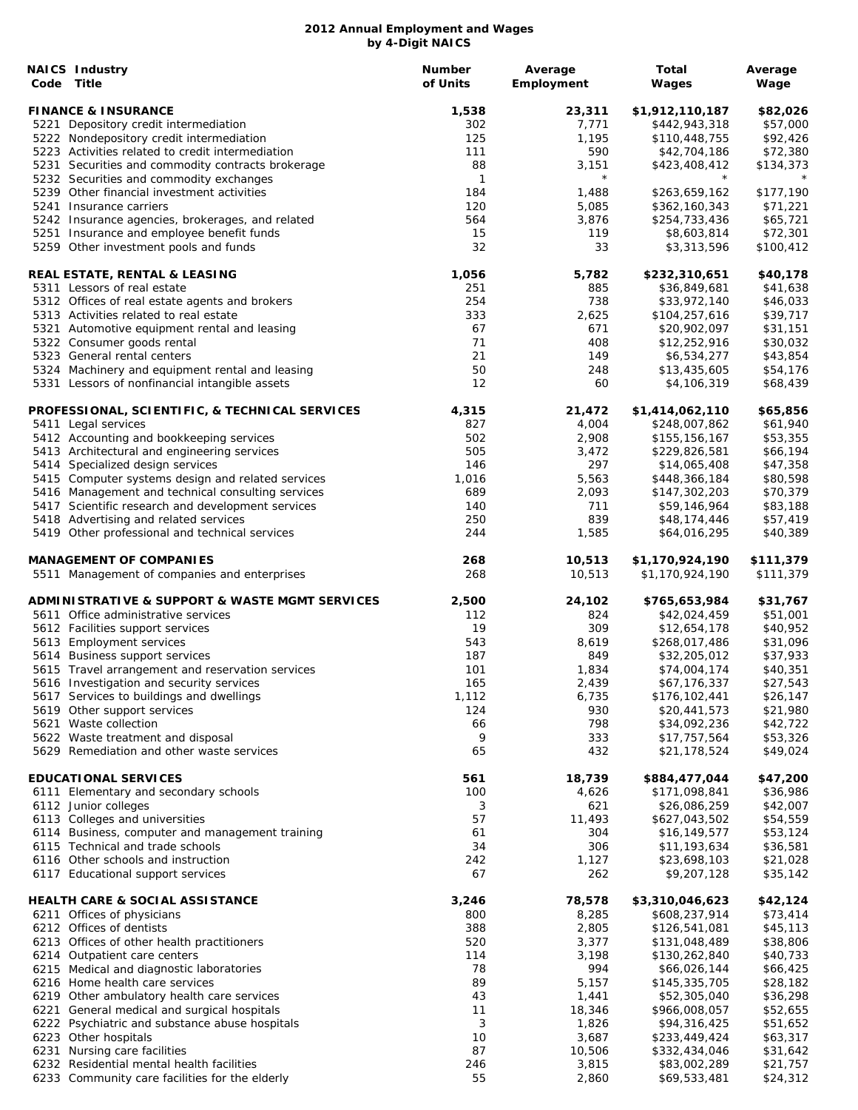| <b>NAICS Industry</b><br>Code Title                                                     | <b>Number</b><br>of Units | Average<br>Employment | <b>Total</b><br>Wages            | Average<br>Wage      |
|-----------------------------------------------------------------------------------------|---------------------------|-----------------------|----------------------------------|----------------------|
| <b>FINANCE &amp; INSURANCE</b>                                                          | 1,538                     | 23,311                | \$1,912,110,187                  | \$82,026             |
| 5221 Depository credit intermediation                                                   | 302                       | 7,771                 | \$442,943,318                    | \$57,000             |
| 5222 Nondepository credit intermediation                                                | 125                       | 1,195                 | \$110,448,755                    | \$92,426             |
| 5223 Activities related to credit intermediation                                        | 111                       | 590                   | \$42,704,186                     | \$72,380             |
| 5231 Securities and commodity contracts brokerage                                       | 88                        | 3,151                 | \$423,408,412                    | \$134,373            |
| 5232 Securities and commodity exchanges                                                 | $\mathbf{1}$              | $\star$               |                                  |                      |
| 5239 Other financial investment activities<br>5241 Insurance carriers                   | 184                       | 1,488                 | \$263,659,162                    | \$177,190            |
| 5242 Insurance agencies, brokerages, and related                                        | 120<br>564                | 5,085<br>3,876        | \$362,160,343<br>\$254,733,436   | \$71,221<br>\$65,721 |
| 5251 Insurance and employee benefit funds                                               | 15                        | 119                   | \$8,603,814                      | \$72,301             |
| 5259 Other investment pools and funds                                                   | 32                        | 33                    | \$3,313,596                      | \$100,412            |
| REAL ESTATE, RENTAL & LEASING                                                           | 1,056                     | 5,782                 | \$232,310,651                    | \$40,178             |
| 5311 Lessors of real estate                                                             | 251                       | 885                   | \$36,849,681                     | \$41,638             |
| 5312 Offices of real estate agents and brokers                                          | 254                       | 738                   | \$33,972,140                     | \$46,033             |
| 5313 Activities related to real estate                                                  | 333                       | 2,625                 | \$104,257,616                    | \$39,717             |
| 5321 Automotive equipment rental and leasing<br>5322 Consumer goods rental              | 67<br>71                  | 671<br>408            | \$20,902,097<br>\$12,252,916     | \$31,151<br>\$30,032 |
| 5323 General rental centers                                                             | 21                        | 149                   | \$6,534,277                      | \$43,854             |
| 5324 Machinery and equipment rental and leasing                                         | 50                        | 248                   | \$13,435,605                     | \$54,176             |
| 5331 Lessors of nonfinancial intangible assets                                          | 12                        | 60                    | \$4,106,319                      | \$68,439             |
| PROFESSIONAL, SCIENTIFIC, & TECHNICAL SERVICES                                          | 4,315                     | 21,472                | \$1,414,062,110                  | \$65,856             |
| 5411 Legal services                                                                     | 827                       | 4,004                 | \$248,007,862                    | \$61,940             |
| 5412 Accounting and bookkeeping services                                                | 502                       | 2,908                 | \$155,156,167                    | \$53,355             |
| 5413 Architectural and engineering services                                             | 505                       | 3,472                 | \$229,826,581                    | \$66,194             |
| 5414 Specialized design services                                                        | 146                       | 297                   | \$14,065,408                     | \$47,358             |
| 5415 Computer systems design and related services                                       | 1,016                     | 5,563                 | \$448,366,184                    | \$80,598             |
| 5416 Management and technical consulting services                                       | 689                       | 2,093                 | \$147,302,203                    | \$70,379             |
| 5417 Scientific research and development services                                       | 140<br>250                | 711<br>839            | \$59,146,964                     | \$83,188             |
| 5418 Advertising and related services<br>5419 Other professional and technical services | 244                       | 1,585                 | \$48,174,446<br>\$64,016,295     | \$57,419<br>\$40,389 |
| <b>MANAGEMENT OF COMPANIES</b>                                                          | 268                       | 10,513                | \$1,170,924,190                  | \$111,379            |
| 5511 Management of companies and enterprises                                            | 268                       | 10,513                | \$1,170,924,190                  | \$111,379            |
| <b>ADMINISTRATIVE &amp; SUPPORT &amp; WASTE MGMT SERVICES</b>                           | 2,500                     | 24,102                | \$765,653,984                    | \$31,767             |
| 5611 Office administrative services                                                     | 112                       | 824                   | \$42,024,459                     | \$51,001             |
| 5612 Facilities support services                                                        | 19                        | 309                   | \$12,654,178                     | \$40,952             |
| 5613 Employment services                                                                | 543                       | 8,619                 | \$268,017,486                    | \$31,096             |
| 5614 Business support services                                                          | 187                       | 849                   | \$32,205,012                     | \$37,933             |
| 5615 Travel arrangement and reservation services                                        | 101                       | 1,834                 | \$74,004,174                     | \$40,351             |
| 5616 Investigation and security services                                                | 165                       | 2,439                 | \$67,176,337                     | \$27,543             |
| 5617 Services to buildings and dwellings                                                | 1,112<br>124              | 6,735<br>930          | \$176,102,441                    | \$26,147             |
| 5619 Other support services<br>5621 Waste collection                                    | 66                        | 798                   | \$20,441,573<br>\$34,092,236     | \$21,980<br>\$42,722 |
| 5622 Waste treatment and disposal                                                       | 9                         | 333                   | \$17,757,564                     | \$53,326             |
| 5629 Remediation and other waste services                                               | 65                        | 432                   | \$21,178,524                     | \$49,024             |
| <b>EDUCATIONAL SERVICES</b>                                                             | 561                       | 18,739                | \$884,477,044                    | \$47,200             |
| 6111 Elementary and secondary schools                                                   | 100                       | 4,626                 | \$171,098,841                    | \$36,986             |
| 6112 Junior colleges                                                                    | 3                         | 621                   | \$26,086,259                     | \$42,007             |
| 6113 Colleges and universities                                                          | 57                        | 11,493                | \$627,043,502                    | \$54,559             |
| 6114 Business, computer and management training                                         | 61                        | 304                   | \$16,149,577                     | \$53,124             |
| 6115 Technical and trade schools                                                        | 34                        | 306                   | \$11,193,634                     | \$36,581             |
| 6116 Other schools and instruction<br>6117 Educational support services                 | 242<br>67                 | 1,127<br>262          | \$23,698,103<br>\$9,207,128      | \$21,028<br>\$35,142 |
|                                                                                         |                           |                       |                                  |                      |
| <b>HEALTH CARE &amp; SOCIAL ASSISTANCE</b><br>6211 Offices of physicians                | 3,246<br>800              | 78,578<br>8,285       | \$3,310,046,623<br>\$608,237,914 | \$42,124<br>\$73,414 |
| 6212 Offices of dentists                                                                | 388                       | 2,805                 | \$126,541,081                    | \$45,113             |
| 6213 Offices of other health practitioners                                              | 520                       | 3,377                 | \$131,048,489                    | \$38,806             |
| 6214 Outpatient care centers                                                            | 114                       | 3,198                 | \$130,262,840                    | \$40,733             |
| 6215 Medical and diagnostic laboratories                                                | 78                        | 994                   | \$66,026,144                     | \$66,425             |
| 6216 Home health care services                                                          | 89                        | 5,157                 | \$145,335,705                    | \$28,182             |
| 6219 Other ambulatory health care services                                              | 43                        | 1,441                 | \$52,305,040                     | \$36,298             |
| 6221 General medical and surgical hospitals                                             | 11                        | 18,346                | \$966,008,057                    | \$52,655             |
| 6222 Psychiatric and substance abuse hospitals                                          | 3                         | 1,826                 | \$94,316,425                     | \$51,652             |
| 6223 Other hospitals                                                                    | 10                        | 3,687                 | \$233,449,424                    | \$63,317             |
| 6231 Nursing care facilities                                                            | 87                        | 10,506                | \$332,434,046                    | \$31,642             |
| 6232 Residential mental health facilities                                               | 246                       | 3,815                 | \$83,002,289                     | \$21,757             |
| 6233 Community care facilities for the elderly                                          | 55                        | 2,860                 | \$69,533,481                     | \$24,312             |